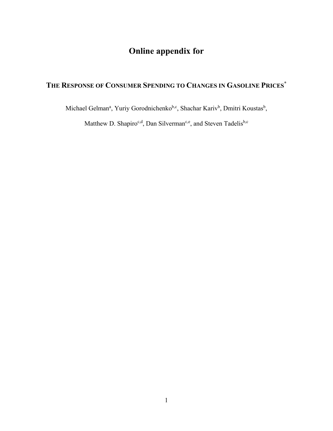# **Online appendix for**

# **THE RESPONSE OF CONSUMER SPENDING TO CHANGES IN GASOLINE PRICES\***

Michael Gelman<sup>a</sup>, Yuriy Gorodnichenko<sup>b,c</sup>, Shachar Kariv<sup>b</sup>, Dmitri Koustas<sup>b</sup>,

Matthew D. Shapiro<sup>c,d</sup>, Dan Silverman<sup>c,e</sup>, and Steven Tadelis<sup>b,c</sup>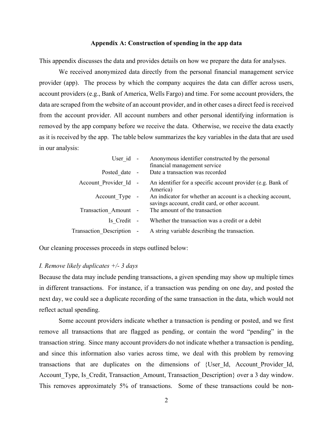## **Appendix A: Construction of spending in the app data**

This appendix discusses the data and provides details on how we prepare the data for analyses.

We received anonymized data directly from the personal financial management service provider (app). The process by which the company acquires the data can differ across users, account providers (e.g., Bank of America, Wells Fargo) and time. For some account providers, the data are scraped from the website of an account provider, and in other cases a direct feed is received from the account provider. All account numbers and other personal identifying information is removed by the app company before we receive the data. Otherwise, we receive the data exactly as it is received by the app. The table below summarizes the key variables in the data that are used in our analysis:

| User id -                 | Anonymous identifier constructed by the personal<br>financial management service                              |
|---------------------------|---------------------------------------------------------------------------------------------------------------|
| Posted date -             | Date a transaction was recorded                                                                               |
| Account Provider Id -     | An identifier for a specific account provider (e.g. Bank of<br>America)                                       |
| Account Type -            | An indicator for whether an account is a checking account,<br>savings account, credit card, or other account. |
| Transaction Amount -      | The amount of the transaction                                                                                 |
| Is Credit -               | Whether the transaction was a credit or a debit                                                               |
| Transaction Description - | A string variable describing the transaction.                                                                 |

Our cleaning processes proceeds in steps outlined below:

## *I. Remove likely duplicates +/- 3 days*

Because the data may include pending transactions, a given spending may show up multiple times in different transactions. For instance, if a transaction was pending on one day, and posted the next day, we could see a duplicate recording of the same transaction in the data, which would not reflect actual spending.

Some account providers indicate whether a transaction is pending or posted, and we first remove all transactions that are flagged as pending, or contain the word "pending" in the transaction string. Since many account providers do not indicate whether a transaction is pending, and since this information also varies across time, we deal with this problem by removing transactions that are duplicates on the dimensions of {User Id, Account Provider Id, Account Type, Is Credit, Transaction Amount, Transaction Description over a 3 day window. This removes approximately 5% of transactions. Some of these transactions could be non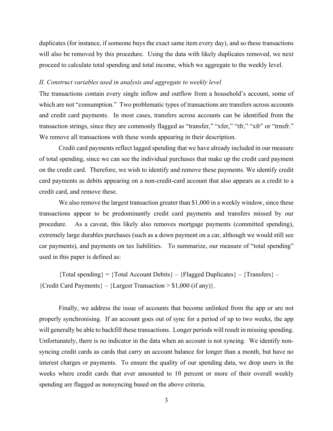duplicates (for instance, if someone buys the exact same item every day), and so these transactions will also be removed by this procedure. Using the data with likely duplicates removed, we next proceed to calculate total spending and total income, which we aggregate to the weekly level.

## *II. Construct variables used in analysis and aggregate to weekly level*

The transactions contain every single inflow and outflow from a household's account, some of which are not "consumption." Two problematic types of transactions are transfers across accounts and credit card payments. In most cases, transfers across accounts can be identified from the transaction strings, since they are commonly flagged as "transfer," "xfer," "tfr," "xfr" or "trnsfr." We remove all transactions with these words appearing in their description.

Credit card payments reflect lagged spending that we have already included in our measure of total spending, since we can see the individual purchases that make up the credit card payment on the credit card. Therefore, we wish to identify and remove these payments. We identify credit card payments as debits appearing on a non-credit-card account that also appears as a credit to a credit card, and remove these.

We also remove the largest transaction greater than \$1,000 in a weekly window, since these transactions appear to be predominantly credit card payments and transfers missed by our procedure. As a caveat, this likely also removes mortgage payments (committed spending), extremely large durables purchases (such as a down payment on a car, although we would still see car payments), and payments on tax liabilities. To summarize, our measure of "total spending" used in this paper is defined as:

 ${Total spending} = {Total Account Debits} - {Flagged Dublicates} - {Transfers} {Cred}$  Card Payments  $-{Largest Transaction > $1,000 (if any)}.$ 

Finally, we address the issue of accounts that become unlinked from the app or are not properly synchronising. If an account goes out of sync for a period of up to two weeks, the app will generally be able to backfill these transactions. Longer periods will result in missing spending. Unfortunately, there is no indicator in the data when an account is not syncing. We identify nonsyncing credit cards as cards that carry an account balance for longer than a month, but have no interest charges or payments. To ensure the quality of our spending data, we drop users in the weeks where credit cards that ever amounted to 10 percent or more of their overall weekly spending are flagged as nonsyncing based on the above criteria.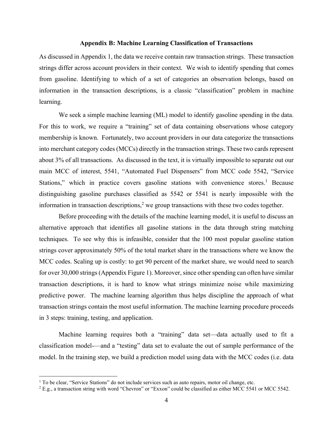## **Appendix B: Machine Learning Classification of Transactions**

As discussed in Appendix 1, the data we receive contain raw transaction strings. These transaction strings differ across account providers in their context. We wish to identify spending that comes from gasoline. Identifying to which of a set of categories an observation belongs, based on information in the transaction descriptions, is a classic "classification" problem in machine learning.

We seek a simple machine learning (ML) model to identify gasoline spending in the data. For this to work, we require a "training" set of data containing observations whose category membership is known. Fortunately, two account providers in our data categorize the transactions into merchant category codes (MCCs) directly in the transaction strings. These two cards represent about 3% of all transactions. As discussed in the text, it is virtually impossible to separate out our main MCC of interest, 5541, "Automated Fuel Dispensers" from MCC code 5542, "Service Stations," which in practice covers gasoline stations with convenience stores.<sup>1</sup> Because distinguishing gasoline purchases classified as 5542 or 5541 is nearly impossible with the information in transaction descriptions,<sup>2</sup> we group transactions with these two codes together.

Before proceeding with the details of the machine learning model, it is useful to discuss an alternative approach that identifies all gasoline stations in the data through string matching techniques. To see why this is infeasible, consider that the 100 most popular gasoline station strings cover approximately 50% of the total market share in the transactions where we know the MCC codes. Scaling up is costly: to get 90 percent of the market share, we would need to search for over 30,000 strings (Appendix Figure 1). Moreover, since other spending can often have similar transaction descriptions, it is hard to know what strings minimize noise while maximizing predictive power. The machine learning algorithm thus helps discipline the approach of what transaction strings contain the most useful information. The machine learning procedure proceeds in 3 steps: training, testing, and application.

Machine learning requires both a "training" data set—data actually used to fit a classification model-—and a "testing" data set to evaluate the out of sample performance of the model. In the training step, we build a prediction model using data with the MCC codes (i.e. data

<sup>&</sup>lt;sup>1</sup> To be clear, "Service Stations" do not include services such as auto repairs, motor oil change, etc.

<sup>2</sup> E.g., a transaction string with word "Chevron" or "Exxon" could be classified as either MCC 5541 or MCC 5542.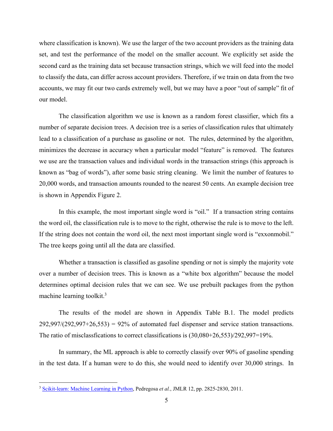where classification is known). We use the larger of the two account providers as the training data set, and test the performance of the model on the smaller account. We explicitly set aside the second card as the training data set because transaction strings, which we will feed into the model to classify the data, can differ across account providers. Therefore, if we train on data from the two accounts, we may fit our two cards extremely well, but we may have a poor "out of sample" fit of our model.

The classification algorithm we use is known as a random forest classifier, which fits a number of separate decision trees. A decision tree is a series of classification rules that ultimately lead to a classification of a purchase as gasoline or not. The rules, determined by the algorithm, minimizes the decrease in accuracy when a particular model "feature" is removed. The features we use are the transaction values and individual words in the transaction strings (this approach is known as "bag of words"), after some basic string cleaning. We limit the number of features to 20,000 words, and transaction amounts rounded to the nearest 50 cents. An example decision tree is shown in Appendix Figure 2.

In this example, the most important single word is "oil." If a transaction string contains the word oil, the classification rule is to move to the right, otherwise the rule is to move to the left. If the string does not contain the word oil, the next most important single word is "exxonmobil." The tree keeps going until all the data are classified.

Whether a transaction is classified as gasoline spending or not is simply the majority vote over a number of decision trees. This is known as a "white box algorithm" because the model determines optimal decision rules that we can see. We use prebuilt packages from the python machine learning toolkit.<sup>3</sup>

The results of the model are shown in Appendix Table B.1. The model predicts  $292,997/(292,997+26,553) = 92\%$  of automated fuel dispenser and service station transactions. The ratio of misclassfications to correct classifications is (30,080+26,553)/292,997=19%.

In summary, the ML approach is able to correctly classify over 90% of gasoline spending in the test data. If a human were to do this, she would need to identify over 30,000 strings. In

 <sup>3</sup> [Scikit-learn: Machine Learning in Python,](http://jmlr.csail.mit.edu/papers/v12/pedregosa11a.html) Pedregosa *et al.*, JMLR 12, pp. 2825-2830, 2011.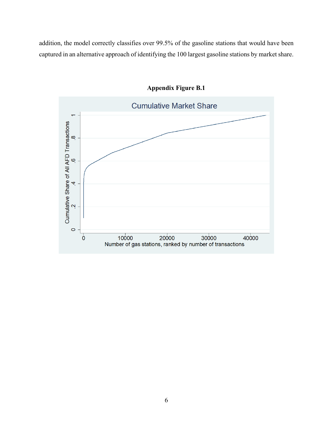addition, the model correctly classifies over 99.5% of the gasoline stations that would have been captured in an alternative approach of identifying the 100 largest gasoline stations by market share.



**Appendix Figure B.1**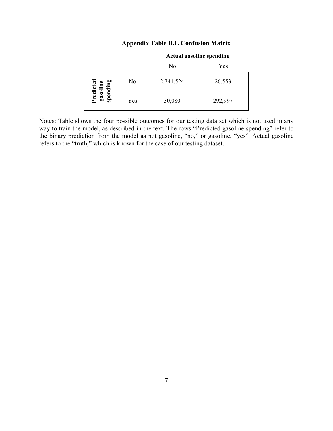|                                   |     | <b>Actual gasoline spending</b> |         |  |
|-----------------------------------|-----|---------------------------------|---------|--|
|                                   |     | No                              | Yes     |  |
| Predicted<br>gasoline<br>spending | No  | 2,741,524                       | 26,553  |  |
|                                   | Yes | 30,080                          | 292,997 |  |

## **Appendix Table B.1. Confusion Matrix**

Notes: Table shows the four possible outcomes for our testing data set which is not used in any way to train the model, as described in the text. The rows "Predicted gasoline spending" refer to the binary prediction from the model as not gasoline, "no," or gasoline, "yes". Actual gasoline refers to the "truth," which is known for the case of our testing dataset.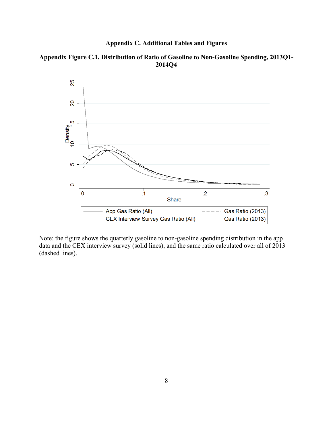## **Appendix C. Additional Tables and Figures**

## **Appendix Figure C.1. Distribution of Ratio of Gasoline to Non-Gasoline Spending, 2013Q1- 2014Q4**



Note: the figure shows the quarterly gasoline to non-gasoline spending distribution in the app data and the CEX interview survey (solid lines), and the same ratio calculated over all of 2013 (dashed lines).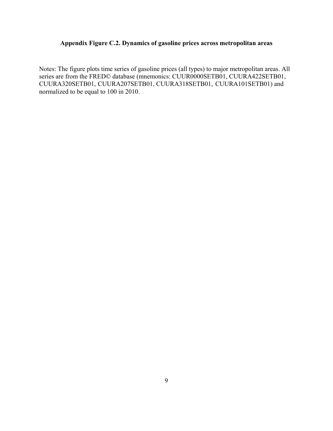# **Appendix Figure C.2. Dynamics of gasoline prices across metropolitan areas**

Notes: The figure plots time series of gasoline prices (all types) to major metropolitan areas. All series are from the FRED© database (mnemonics: CUUR0000SETB01, CUURA422SETB01, CUURA320SETB01, CUURA207SETB01, CUURA318SETB01, CUURA101SETB01) and normalized to be equal to 100 in 2010.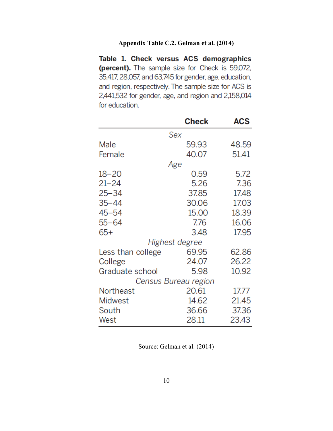# **Appendix Table C.2. Gelman et al. (2014)**

Table 1. Check versus ACS demographics (percent). The sample size for Check is 59,072, 35,417, 28,057, and 63,745 for gender, age, education, and region, respectively. The sample size for ACS is 2,441,532 for gender, age, and region and 2,158,014 for education.

|                      | <b>Check</b> | <b>ACS</b> |
|----------------------|--------------|------------|
| Sex                  |              |            |
| Male                 | 59.93        | 48.59      |
| Female               | 40.07        | 51.41      |
| Age                  |              |            |
| $18 - 20$            | 0.59         | 5.72       |
| $21 - 24$            | 5.26         | 7.36       |
| $25 - 34$            | 37.85        | 17.48      |
| $35 - 44$            | 30.06        | 17.03      |
| $45 - 54$            | 15.00        | 18.39      |
| $55 - 64$            | 7.76         | 16.06      |
| $65+$                | 3.48         | 17.95      |
| Highest degree       |              |            |
| Less than college    | 69.95        | 62.86      |
| College              | 24.07        | 26.22      |
| Graduate school      | 5.98         | 10.92      |
| Census Bureau region |              |            |
| Northeast            | 20.61        | 17.77      |
| <b>Midwest</b>       | 14.62        | 21.45      |
| South                | 36.66        | 37.36      |
| West                 | 28.11        | 23.43      |

Source: Gelman et al. (2014)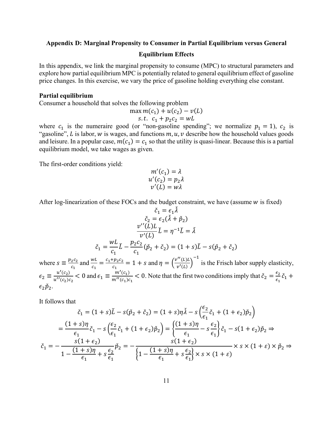### **Appendix D: Marginal Propensity to Consumer in Partial Equilibrium versus General**

#### **Equilibrium Effects**

In this appendix, we link the marginal propensity to consume (MPC) to structural parameters and explore how partial equilibrium MPC is potentially related to general equilibrium effect of gasoline price changes. In this exercise, we vary the price of gasoline holding everything else constant.

### **Partial equilibrium**

Consumer a household that solves the following problem

$$
\max_{c_1} m(c_1) + u(c_2) - v(L)
$$
  
s.t.  $c_1 + p_2 c_2 = wL$ 

where  $c_1$  is the numeraire good (or "non-gasoline spending"; we normalize  $p_1 = 1$ ),  $c_2$  is "gasoline", L is labor, w is wages, and functions  $m, u, v$  describe how the household values goods and leisure. In a popular case,  $m(c_1) = c_1$  so that the utility is quasi-linear. Because this is a partial equilibrium model, we take wages as given.

The first-order conditions yield:

$$
m'(c1) = \lambda u'(c2) = p2\lambda v'(L) = w\lambda
$$

After log-linearization of these FOCs and the budget constraint, we have (assume  $w$  is fixed)

$$
\check{c}_1 = \epsilon_1 \lambda
$$
  
\n
$$
\check{c}_2 = \epsilon_2 (\check{\lambda} + \check{p}_2)
$$
  
\n
$$
\frac{v''(L)L}{v'(L)} \check{L} = \eta^{-1} \check{L} = \check{\lambda}
$$
  
\n
$$
\check{c}_1 = \frac{wL}{c_1} \check{L} - \frac{p_2 c_2}{c_1} (\check{p}_2 + \check{c}_2) = (1 + s)\check{L} - s(\check{p}_2 + \check{c}_2)
$$

where  $s \equiv \frac{p_2 c_2}{c_1}$ and  $\frac{WL}{a}$  $\frac{wL}{c_1} = \frac{c_1 + p_2 c_2}{c_1} = 1 + s$  and  $\eta = \left(\frac{v''(L)L}{v'(L)}\right)$ −1 is the Frisch labor supply elasticity,  $\epsilon_2 \equiv \frac{u'(c_2)}{u''(c_2)c_2} < 0$  and  $\epsilon_1 \equiv \frac{m'(c_1)}{m''(c_1)c_1} < 0$ . Note that the first two conditions imply that  $\check{c}_2 = \frac{\epsilon_2}{\epsilon_1}\check{c}_1$  +  $\epsilon_2 \check{p}_2$ .

It follows that

$$
\check{c}_1 = (1+s)\check{L} - s(\check{p}_2 + \check{c}_2) = (1+s)\eta\check{A} - s\left(\frac{\epsilon_2}{\epsilon_1}\check{c}_1 + (1+\epsilon_2)\check{p}_2\right)
$$

$$
= \frac{(1+s)\eta}{\epsilon_1}\check{c}_1 - s\left(\frac{\epsilon_2}{\epsilon_1}\check{c}_1 + (1+\epsilon_2)\check{p}_2\right) = \left\{\frac{(1+s)\eta}{\epsilon_1} - s\frac{\epsilon_2}{\epsilon_1}\right\}\check{c}_1 - s(1+\epsilon_2)\check{p}_2 \Rightarrow
$$

$$
\check{c}_1 = -\frac{s(1+\epsilon_2)}{1 - \frac{(1+s)\eta}{\epsilon_1} + s\frac{\epsilon_2}{\epsilon_1}}\check{p}_2 = -\frac{s(1+s)\eta}{\left\{1 - \frac{(1+s)\eta}{\epsilon_1} + s\frac{\epsilon_2}{\epsilon_1}\right\}} \times s \times (1+\varepsilon) \times \check{p}_2 \Rightarrow
$$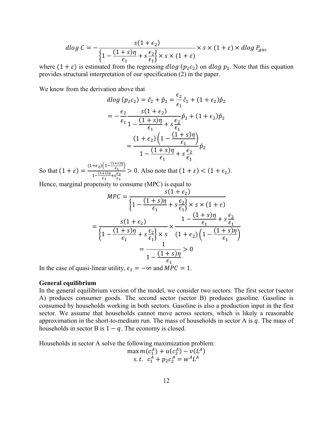$$
d\log C = -\frac{s(1+\epsilon_2)}{\left\{1 - \frac{(1+s)\eta}{\epsilon_1} + s\frac{\epsilon_2}{\epsilon_1}\right\} \times s \times (1+\epsilon)} \times s \times (1+\epsilon) \times d\log P_{gas}
$$

where  $(1 + \varepsilon)$  is estimated from the regressing *dlog*  $(p_2c_2)$  on *dlog*  $p_2$ . Note that this equation provides structural interpretation of our specification (2) in the paper.

We know from the derivation above that

$$
d\log (p_2 c_2) = \check{c}_2 + \check{p}_2 = \frac{\epsilon_2}{\epsilon_1} \check{c}_1 + (1 + \epsilon_2) \check{p}_2
$$
  
= 
$$
-\frac{\epsilon_2}{\epsilon_1} \frac{s(1 + \epsilon_2)}{1 - \frac{(1 + s)\eta}{\epsilon_1} + s\frac{\epsilon_2}{\epsilon_1}} \check{p}_2 + (1 + \epsilon_2) \check{p}_2
$$
  
= 
$$
\frac{(1 + \epsilon_2) \left(1 - \frac{(1 + s)\eta}{\epsilon_1}\right)}{1 - \frac{(1 + s)\eta}{\epsilon_1} + s\frac{\epsilon_2}{\epsilon_1}} \check{p}_2
$$

So that  $(1 + \varepsilon) = \frac{(1+\varepsilon_2)\left(1 - \frac{(1+s)\eta}{\varepsilon_1}\right)}{1 - (1+s)\eta_{1,\varepsilon}\varepsilon_2}$  $1-\frac{(1+s)\eta}{\epsilon_1}+s\frac{\epsilon_2}{\epsilon_1}$  $> 0$ . Also note that  $(1 + \varepsilon) < (1 + \varepsilon_2)$ .

Hence, marginal propensity to consume (MPC) is equal to

$$
MPC = \frac{s(1+\epsilon_2)}{\left\{1 - \frac{(1+s)\eta}{\epsilon_1} + s\frac{\epsilon_2}{\epsilon_1}\right\} \times s \times (1+\epsilon)}
$$

$$
= \frac{s(1+\epsilon_2)}{\left\{1 - \frac{(1+s)\eta}{\epsilon_1} + s\frac{\epsilon_2}{\epsilon_1}\right\} \times s} \times \frac{1 - \frac{(1+s)\eta}{\epsilon_1} + s\frac{\epsilon_2}{\epsilon_1}}{(1+\epsilon_2)\left(1 - \frac{(1+s)\eta}{\epsilon_1}\right)}
$$

$$
= \frac{1}{1 - \frac{(1+s)\eta}{\epsilon_1}} > 0
$$

In the case of quasi-linear utility,  $\epsilon_1 = -\infty$  and  $MPC = 1$ .

### **General equilibrium**

In the general equilibrium version of the model, we consider two sectors. The first sector (sector A) produces consumer goods. The second sector (sector B) produces gasoline. Gasoline is consumed by households working in both sectors. Gasoline is also a production input in the first sector. We assume that households cannot move across sectors, which is likely a reasonable approximation in the short-to-medium run. The mass of households in sector A is  $q$ . The mass of households in sector B is  $1 - q$ . The economy is closed.

Households in sector A solve the following maximization problem:

$$
\max_{\mathbf{C}_1^A} m(c_1^A) + u(c_2^A) - v(L^A) \ns.t. \ c_1^A + p_2 c_2^A = w^A L^A
$$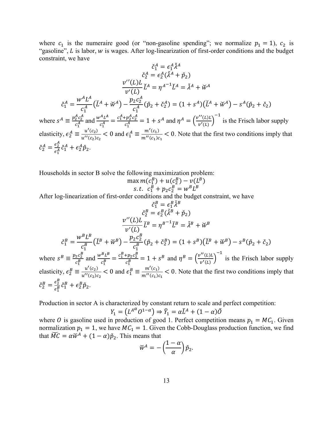where  $c_1$  is the numeraire good (or "non-gasoline spending"; we normalize  $p_1 = 1$ ),  $c_2$  is "gasoline",  $L$  is labor,  $w$  is wages. After log-linearization of first-order conditions and the budget constraint, we have

$$
\check{c}_{1}^{A} = \epsilon_{1}^{A} \check{\lambda}^{A}
$$
\n
$$
\check{c}_{2}^{A} = \epsilon_{2}^{A} (\check{\lambda}^{A} + \check{p}_{2})
$$
\n
$$
\frac{v''(L)L}{v'(L)} L^{A} = \eta^{A-1} L^{A} = \check{\lambda}^{A} + \check{w}^{A}
$$
\n
$$
\check{c}_{1}^{A} = \frac{w^{A} L^{A}}{c_{1}^{A}} (\check{L}^{A} + \check{w}^{A}) - \frac{p_{2} c_{2}^{A}}{c_{1}^{A}} (\check{p}_{2} + \check{c}_{2}^{A}) = (1 + s^{A})(\check{L}^{A} + \check{w}^{A}) - s^{A}(\check{p}_{2} + \check{c}_{2})
$$
\nwhere  $s^{A} \equiv \frac{p_{2}^{A} c_{2}^{A}}{c_{1}^{A}}$  and  $\frac{w^{A} L^{A}}{c_{1}^{A}} = \frac{c_{1}^{A} + p_{2}^{A} c_{2}^{A}}{c_{1}^{A}} = 1 + s^{A}$  and  $\eta^{A} = \left(\frac{v''(L)L}{v'(L)}\right)^{-1}$  is the Frisch labor supply elasticity,  $\epsilon_{2}^{A} \equiv \frac{u'(c_{2})}{u''(c_{2})c_{2}} < 0$  and  $\epsilon_{1}^{A} \equiv \frac{m'(c_{1})}{m''(c_{1})c_{1}} < 0$ . Note that the first two conditions imply that  $\check{c}_{2}^{A} = \frac{\epsilon_{2}^{A}}{\epsilon_{1}^{A}} \check{c}_{1}^{A} + \epsilon_{2}^{A} \check{p}_{2}.$ 

Households in sector B solve the following maximization problem:

$$
\max m(c_1^B) + u(c_2^B) - v(L^B) \ns.t. \ c_1^B + p_2 c_2^B = w^B L^B
$$

After log-linearization of first-order conditions and the budget constraint, we have

$$
\check{c}_1^B = \epsilon_1^B \tilde{\lambda}^B
$$
\n
$$
\check{c}_2^B = \epsilon_2^B (\tilde{\lambda}^B + \check{p}_2)
$$
\n
$$
\frac{\nu''(L)L}{\nu'(L)} L^B = \eta^{B-1} L^B = \tilde{\lambda}^B + \check{w}^B
$$
\n
$$
\check{c}_1^B = \frac{w^B L^B}{c_1^B} (\check{L}^B + \check{w}^B) - \frac{p_2 c_2^B}{c_1^B} (\check{p}_2 + \check{c}_2^B) = (1 + s^B)(\check{L}^B + \check{w}^B) - s^B (\check{p}_2 + \check{c}_2)
$$
\nwhere  $s^B \equiv \frac{p_2 c_2^B}{c_1^B}$  and  $\frac{w^B L^B}{c_1^B} = \frac{c_1^B + p_2 c_2^B}{c_1^B} = 1 + s^B$  and  $\eta^B = \left(\frac{v''(L)L}{v'(L)}\right)^{-1}$  is the Frisch labor supply elasticity,  $\epsilon_2^B \equiv \frac{u'(c_2)}{u''(c_2)c_2} < 0$  and  $\epsilon_1^B \equiv \frac{m'(c_1)}{m''(c_1)c_1} < 0$ . Note that the first two conditions imply that  $\check{c}_2^B = \frac{\epsilon_2^B}{\epsilon_1^B} \check{c}_1^B + \epsilon_2^B \check{p}_2$ .

Production in sector A is characterized by constant return to scale and perfect competition:

$$
Y_1 = (L^{A^{\alpha}}O^{1-\alpha}) \Rightarrow \check{Y}_1 = \alpha L^A + (1-\alpha)\check{O}
$$

where O is gasoline used in production of good 1. Perfect competition means  $p_1 = MC_1$ . Given normalization  $p_1 = 1$ , we have  $MC_1 = 1$ . Given the Cobb-Douglass production function, we find that  $\overline{MC} = \alpha \check{w}^A + (1 - \alpha) \check{p}_2$ . This means that

$$
\breve{w}^A = -\left(\frac{1-\alpha}{\alpha}\right)\breve{p}_2.
$$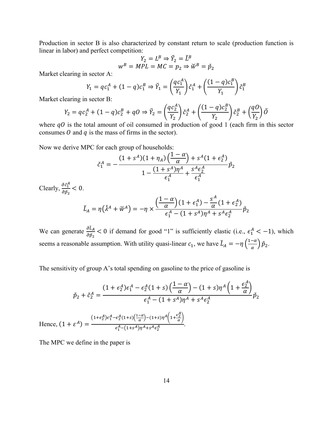Production in sector B is also characterized by constant return to scale (production function is linear in labor) and perfect competition:

$$
Y_2 = L^B \Rightarrow \check{Y}_2 = \check{L}^B
$$
  

$$
w^B = MPL = MC = p_2 \Rightarrow \check{w}^B = \check{p}_2
$$

Market clearing in sector A:

$$
Y_1 = qc_1^A + (1-q)c_1^B \Rightarrow \check{Y}_1 = \left(\frac{qc_1^A}{Y_1}\right)\check{c}_1^A + \left(\frac{(1-q)c_1^B}{Y_1}\right)\check{c}_1^B
$$

Market clearing in sector B:

$$
Y_2 = qc_2^A + (1-q)c_2^B + qO \Rightarrow \check{Y}_2 = \left(\frac{qc_2^A}{Y_2}\right)\check{c}_2^A + \left(\frac{(1-q)c_2^B}{Y_2}\right)\check{c}_2^B + \left(\frac{qO}{Y_2}\right)\check{O}
$$

where  $qO$  is the total amount of oil consumed in production of good 1 (each firm in this sector consumes  $\theta$  and  $q$  is the mass of firms in the sector).

Now we derive MPC for each group of households:

$$
\check{c}_1^A = -\frac{(1+s^A)(1+\eta_A)\left(\frac{1-\alpha}{\alpha}\right) + s^A(1+\epsilon_2^A)}{1 - \frac{(1+s^A)\eta^A}{\epsilon_1^A} + \frac{s^A\epsilon_2^A}{\epsilon_1^A}}\check{p}_2
$$

Clearly,  $\frac{\partial \check{c}_1^A}{\partial \check{c}_1^A}$  $\frac{\partial c_1}{\partial \check{p}_2} < 0.$ 

$$
\check{L}_A=\eta\big(\check{\lambda}^A+\check{w}^A\big)=-\eta\times\frac{\Big(\dfrac{1-\alpha}{\alpha}\Big)(1+\epsilon_1^A)-\dfrac{s^A}{\alpha}(1+\epsilon_2^A)}{\epsilon_1^A-(1+s^A)\eta^A+s^A\epsilon_2^A}\check{p}_2
$$

We can generate  $\frac{\partial L_A}{\partial x}$  $\frac{\partial L_A}{\partial \rho_2}$  < 0 if demand for good "1" is sufficiently elastic (i.e.,  $\epsilon_1^A$  < -1), which seems a reasonable assumption. With utility quasi-linear  $c_1$ , we have  $\tilde{L}_A = -\eta \left(\frac{1-\alpha}{\alpha}\right) \tilde{p}_2$ .

The sensitivity of group A's total spending on gasoline to the price of gasoline is

$$
\check{p}_2 + \check{c}_2^A = \frac{(1 + \epsilon_2^A)\epsilon_1^A - \epsilon_2^A(1 + s)\left(\frac{1 - \alpha}{\alpha}\right) - (1 + s)\eta^A \left(1 + \frac{\epsilon_2^A}{\alpha}\right)}{\epsilon_1^A - (1 + s^A)\eta^A + s^A \epsilon_2^A} \check{p}_2
$$
  
Hence, 
$$
(1 + \epsilon^A) = \frac{(1 + \epsilon_2^A)\epsilon_1^A - \epsilon_2^A(1 + s)\left(\frac{1 - \alpha}{\alpha}\right) - (1 + s)\eta^A \left(1 + \frac{\epsilon_2^A}{\alpha}\right)}{\epsilon_1^A - (1 + s^A)\eta^A + s^A \epsilon_2^A}.
$$

The MPC we define in the paper is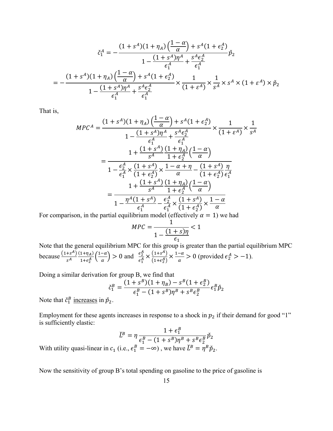$$
\check{c}_{1}^{A} = -\frac{(1+s^{A})(1+\eta_{A})\left(\frac{1-\alpha}{\alpha}\right)+s^{A}(1+\epsilon_{2}^{A})}{1-\frac{(1+s^{A})\eta^{A}}{\epsilon_{1}^{A}}+\frac{s^{A}\epsilon_{2}^{A}}{\epsilon_{1}^{A}}}\check{p}_{2}
$$
\n
$$
= -\frac{(1+s^{A})(1+\eta_{A})\left(\frac{1-\alpha}{\alpha}\right)+s^{A}(1+\epsilon_{2}^{A})}{1-\frac{(1+s^{A})\eta^{A}}{\epsilon_{1}^{A}}+\frac{s^{A}\epsilon_{2}^{A}}{\epsilon_{1}^{A}}}\times\frac{1}{(1+\epsilon^{A})}\times\frac{1}{s^{A}}\times s^{A}\times(1+\epsilon^{A})\times\check{p}_{2}
$$

That is,

$$
MPC^{A} = \frac{(1+s^{A})(1+\eta_{A})\left(\frac{1-\alpha}{\alpha}\right)+s^{A}(1+\epsilon_{2}^{A})}{1-\frac{(1+s^{A})\eta^{A}}{\epsilon_{1}^{A}}+\frac{s^{A}\epsilon_{2}^{A}}{\epsilon_{1}^{A}}}\times\frac{1}{(1+\epsilon^{A})}\times\frac{1}{s^{A}}
$$

$$
= \frac{1+\frac{(1+s^{A})}{s^{A}}\frac{(1+\eta_{A})}{1+\epsilon_{2}^{A}}\left(\frac{1-\alpha}{\alpha}\right)}{1-\frac{\epsilon_{2}^{A}}{\epsilon_{1}^{A}}\times\frac{(1+s^{A})}{(1+\epsilon_{2}^{A})}\times\frac{1-\alpha+\eta}{\alpha}-\frac{(1+s^{A})}{(1+\epsilon_{2}^{A})}\frac{\eta}{\epsilon_{1}^{A}}}{1+\frac{(1+s^{A})}{s^{A}}\frac{(1+\eta_{A})}{1+\epsilon_{2}^{A}}\left(\frac{1-\alpha}{\alpha}\right)}
$$

$$
= \frac{1-\frac{\eta^{A}(1+s^{A})}{\epsilon_{1}^{A}}-\frac{\epsilon_{2}^{A}}{\epsilon_{1}^{A}}\times\frac{(1+s^{A})}{(1+\epsilon_{2}^{A})}\times\frac{1-\alpha}{\alpha}}{\epsilon_{1}^{A}}
$$

For comparison, in the partial equilibrium model (effectively  $\alpha = 1$ ) we had

$$
MPC = \frac{1}{1 - \frac{(1+s)\eta}{\epsilon_1}} < 1
$$

Note that the general equilibrium MPC for this group is greater than the partial equilibrium MPC because  $\frac{(1+s^A)}{s^A}$  $(1+\eta_A)$  $\frac{1+\eta_A}{1+\epsilon_2^A} \left(\frac{1-\alpha}{\alpha}\right) > 0$  and  $\frac{\epsilon_2^A}{\epsilon_1^A}$  $\frac{\epsilon_1^A}{\epsilon_1^A} \times \frac{(1+s^A)}{(1+\epsilon_2^A)} \times \frac{1-\alpha}{\alpha} > 0$  (provided  $\epsilon_2^A > -1$ ).

Doing a similar derivation for group B, we find that

$$
\breve{c}_{1}^{B} = \frac{(1+s^{B})(1+\eta_{B}) - s^{B}(1+\epsilon_{2}^{B})}{\epsilon_{1}^{B} - (1+s^{B})\eta^{B} + s^{B}\epsilon_{2}^{B}} \epsilon_{1}^{B}\breve{p}_{2}
$$

Note that  $\check{c}_1^B$  increases in  $\check{p}_2$ .

Employment for these agents increases in response to a shock in  $p_2$  if their demand for good "1" is sufficiently elastic:

$$
\check{L}^B = \eta \frac{1 + \epsilon_1^B}{\epsilon_1^B - (1 + s^B)\eta^B + s^B \epsilon_2^B} \check{p}_2
$$
\n
$$
\begin{array}{c} (i, s, \epsilon_1^B - \infty) \text{ we have } \check{L}^B - \sigma^B \check{p}_2 \end{array}
$$

With utility quasi-linear in  $c_1$  (i.e.,  $\epsilon_1^B = -\infty$ ), we have  $\dot{L}^B = \eta^B \dot{p}_2$ .

Now the sensitivity of group B's total spending on gasoline to the price of gasoline is